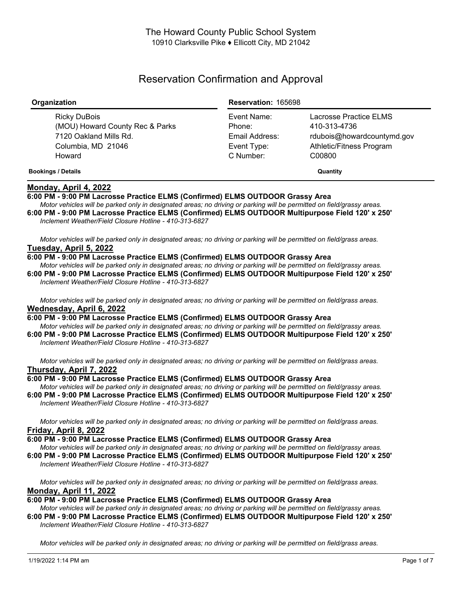# Reservation Confirmation and Approval

| Organization                                                                                    | <b>Reservation: 165698</b>                             |                                                                                                  |
|-------------------------------------------------------------------------------------------------|--------------------------------------------------------|--------------------------------------------------------------------------------------------------|
| Ricky DuBois<br>(MOU) Howard County Rec & Parks<br>7120 Oakland Mills Rd.<br>Columbia, MD 21046 | Event Name:<br>Phone:<br>Email Address:<br>Event Type: | Lacrosse Practice ELMS<br>410-313-4736<br>rdubois@howardcountymd.gov<br>Athletic/Fitness Program |
| Howard<br><b>Bookings / Details</b>                                                             | C Number:                                              | C00800<br>Quantity                                                                               |

## **Monday, April 4, 2022**

### **6:00 PM - 9:00 PM Lacrosse Practice ELMS (Confirmed) ELMS OUTDOOR Grassy Area**

Motor vehicles will be parked only in designated areas; no driving or parking will be permitted on field/grassy areas. **6:00 PM - 9:00 PM Lacrosse Practice ELMS (Confirmed) ELMS OUTDOOR Multipurpose Field 120' x 250'** *Inclement Weather/Field Closure Hotline - 410-313-6827*

Motor vehicles will be parked only in designated areas; no driving or parking will be permitted on field/grass areas. **Tuesday, April 5, 2022**

#### **6:00 PM - 9:00 PM Lacrosse Practice ELMS (Confirmed) ELMS OUTDOOR Grassy Area**

Motor vehicles will be parked only in designated areas; no driving or parking will be permitted on field/grassy areas. **6:00 PM - 9:00 PM Lacrosse Practice ELMS (Confirmed) ELMS OUTDOOR Multipurpose Field 120' x 250'** *Inclement Weather/Field Closure Hotline - 410-313-6827*

Motor vehicles will be parked only in designated areas; no driving or parking will be permitted on field/grass areas. **Wednesday, April 6, 2022**

**6:00 PM - 9:00 PM Lacrosse Practice ELMS (Confirmed) ELMS OUTDOOR Grassy Area** Motor vehicles will be parked only in designated areas; no driving or parking will be permitted on field/grassy areas.

**6:00 PM - 9:00 PM Lacrosse Practice ELMS (Confirmed) ELMS OUTDOOR Multipurpose Field 120' x 250'** *Inclement Weather/Field Closure Hotline - 410-313-6827*

Motor vehicles will be parked only in designated areas; no driving or parking will be permitted on field/grass areas. **Thursday, April 7, 2022**

#### **6:00 PM - 9:00 PM Lacrosse Practice ELMS (Confirmed) ELMS OUTDOOR Grassy Area**

Motor vehicles will be parked only in designated areas; no driving or parking will be permitted on field/grassy areas. **6:00 PM - 9:00 PM Lacrosse Practice ELMS (Confirmed) ELMS OUTDOOR Multipurpose Field 120' x 250'** *Inclement Weather/Field Closure Hotline - 410-313-6827*

Motor vehicles will be parked only in designated areas; no driving or parking will be permitted on field/grass areas. **Friday, April 8, 2022**

- **6:00 PM - 9:00 PM Lacrosse Practice ELMS (Confirmed) ELMS OUTDOOR Grassy Area**
- Motor vehicles will be parked only in designated areas; no driving or parking will be permitted on field/grassy areas.

**6:00 PM - 9:00 PM Lacrosse Practice ELMS (Confirmed) ELMS OUTDOOR Multipurpose Field 120' x 250'** *Inclement Weather/Field Closure Hotline - 410-313-6827*

Motor vehicles will be parked only in designated areas; no driving or parking will be permitted on field/grass areas. **Monday, April 11, 2022**

**6:00 PM - 9:00 PM Lacrosse Practice ELMS (Confirmed) ELMS OUTDOOR Grassy Area**

Motor vehicles will be parked only in designated areas: no driving or parking will be permitted on field/grassy areas. **6:00 PM - 9:00 PM Lacrosse Practice ELMS (Confirmed) ELMS OUTDOOR Multipurpose Field 120' x 250'** *Inclement Weather/Field Closure Hotline - 410-313-6827*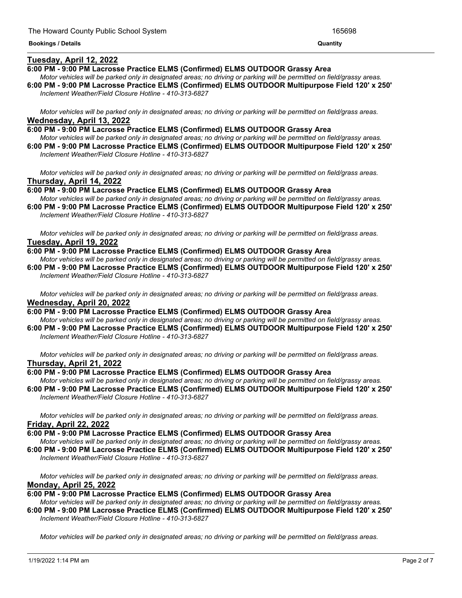### **Tuesday, April 12, 2022**

#### **6:00 PM - 9:00 PM Lacrosse Practice ELMS (Confirmed) ELMS OUTDOOR Grassy Area**

Motor vehicles will be parked only in designated areas; no driving or parking will be permitted on field/grassy areas. **6:00 PM - 9:00 PM Lacrosse Practice ELMS (Confirmed) ELMS OUTDOOR Multipurpose Field 120' x 250'** *Inclement Weather/Field Closure Hotline - 410-313-6827*

<u> 1989 - Andrea Andrea Andrea Andrea Andrea Andrea Andrea Andrea Andrea Andrea Andrea Andrea Andrea Andrea Andr</u>

Motor vehicles will be parked only in designated areas; no driving or parking will be permitted on field/grass areas. **Wednesday, April 13, 2022**

**6:00 PM - 9:00 PM Lacrosse Practice ELMS (Confirmed) ELMS OUTDOOR Grassy Area** Motor vehicles will be parked only in designated areas; no driving or parking will be permitted on field/grassy areas. **6:00 PM - 9:00 PM Lacrosse Practice ELMS (Confirmed) ELMS OUTDOOR Multipurpose Field 120' x 250'**

*Inclement Weather/Field Closure Hotline - 410-313-6827*

Motor vehicles will be parked only in designated areas; no driving or parking will be permitted on field/grass areas. **Thursday, April 14, 2022**

**6:00 PM - 9:00 PM Lacrosse Practice ELMS (Confirmed) ELMS OUTDOOR Grassy Area** Motor vehicles will be parked only in designated areas; no driving or parking will be permitted on field/grassy areas. **6:00 PM - 9:00 PM Lacrosse Practice ELMS (Confirmed) ELMS OUTDOOR Multipurpose Field 120' x 250'**

*Inclement Weather/Field Closure Hotline - 410-313-6827*

Motor vehicles will be parked only in designated areas; no driving or parking will be permitted on field/grass areas. **Tuesday, April 19, 2022**

**6:00 PM - 9:00 PM Lacrosse Practice ELMS (Confirmed) ELMS OUTDOOR Grassy Area** Motor vehicles will be parked only in designated areas: no driving or parking will be permitted on field/grassy areas.

**6:00 PM - 9:00 PM Lacrosse Practice ELMS (Confirmed) ELMS OUTDOOR Multipurpose Field 120' x 250'** *Inclement Weather/Field Closure Hotline - 410-313-6827*

Motor vehicles will be parked only in designated areas; no driving or parking will be permitted on field/grass areas. **Wednesday, April 20, 2022**

**6:00 PM - 9:00 PM Lacrosse Practice ELMS (Confirmed) ELMS OUTDOOR Grassy Area** Motor vehicles will be parked only in designated areas; no driving or parking will be permitted on field/grassy areas. **6:00 PM - 9:00 PM Lacrosse Practice ELMS (Confirmed) ELMS OUTDOOR Multipurpose Field 120' x 250'**

*Inclement Weather/Field Closure Hotline - 410-313-6827*

Motor vehicles will be parked only in designated areas: no driving or parking will be permitted on field/grass areas. **Thursday, April 21, 2022**

#### **6:00 PM - 9:00 PM Lacrosse Practice ELMS (Confirmed) ELMS OUTDOOR Grassy Area**

Motor vehicles will be parked only in designated areas; no driving or parking will be permitted on field/grassy areas. **6:00 PM - 9:00 PM Lacrosse Practice ELMS (Confirmed) ELMS OUTDOOR Multipurpose Field 120' x 250'** *Inclement Weather/Field Closure Hotline - 410-313-6827*

Motor vehicles will be parked only in designated areas; no driving or parking will be permitted on field/grass areas. **Friday, April 22, 2022**

**6:00 PM - 9:00 PM Lacrosse Practice ELMS (Confirmed) ELMS OUTDOOR Grassy Area**

Motor vehicles will be parked only in designated areas; no driving or parking will be permitted on field/grassy areas. **6:00 PM - 9:00 PM Lacrosse Practice ELMS (Confirmed) ELMS OUTDOOR Multipurpose Field 120' x 250'** *Inclement Weather/Field Closure Hotline - 410-313-6827*

Motor vehicles will be parked only in designated areas; no driving or parking will be permitted on field/grass areas. **Monday, April 25, 2022**

# **6:00 PM - 9:00 PM Lacrosse Practice ELMS (Confirmed) ELMS OUTDOOR Grassy Area**

Motor vehicles will be parked only in designated areas; no driving or parking will be permitted on field/grassy areas. **6:00 PM - 9:00 PM Lacrosse Practice ELMS (Confirmed) ELMS OUTDOOR Multipurpose Field 120' x 250'**

*Inclement Weather/Field Closure Hotline - 410-313-6827*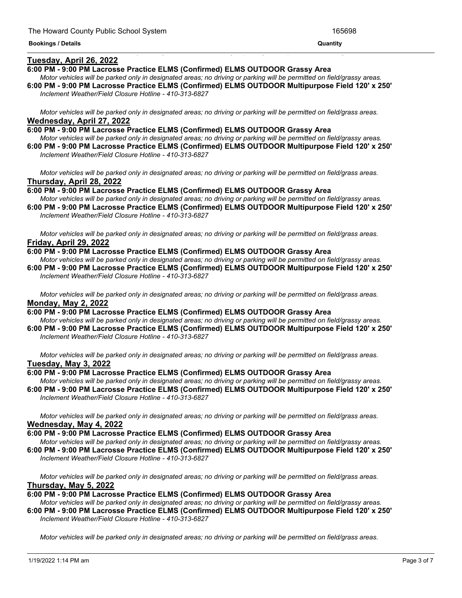#### **Tuesday, April 26, 2022**

#### **6:00 PM - 9:00 PM Lacrosse Practice ELMS (Confirmed) ELMS OUTDOOR Grassy Area**

Motor vehicles will be parked only in designated areas; no driving or parking will be permitted on field/grassy areas. **6:00 PM - 9:00 PM Lacrosse Practice ELMS (Confirmed) ELMS OUTDOOR Multipurpose Field 120' x 250'**

<u> 1989 - Andrea San Andrea San Andrea San Andrea San Andrea San Andrea San Andrea San Andrea San Andrea San An</u>

*Inclement Weather/Field Closure Hotline - 410-313-6827*

Motor vehicles will be parked only in designated areas; no driving or parking will be permitted on field/grass areas. **Wednesday, April 27, 2022**

**6:00 PM - 9:00 PM Lacrosse Practice ELMS (Confirmed) ELMS OUTDOOR Grassy Area** Motor vehicles will be parked only in designated areas; no driving or parking will be permitted on field/grassy areas. **6:00 PM - 9:00 PM Lacrosse Practice ELMS (Confirmed) ELMS OUTDOOR Multipurpose Field 120' x 250'** *Inclement Weather/Field Closure Hotline - 410-313-6827*

Motor vehicles will be parked only in designated areas; no driving or parking will be permitted on field/grass areas. **Thursday, April 28, 2022**

**6:00 PM - 9:00 PM Lacrosse Practice ELMS (Confirmed) ELMS OUTDOOR Grassy Area** Motor vehicles will be parked only in designated areas; no driving or parking will be permitted on field/grassy areas. **6:00 PM - 9:00 PM Lacrosse Practice ELMS (Confirmed) ELMS OUTDOOR Multipurpose Field 120' x 250'**

*Inclement Weather/Field Closure Hotline - 410-313-6827*

Motor vehicles will be parked only in designated areas; no driving or parking will be permitted on field/grass areas. **Friday, April 29, 2022**

**6:00 PM - 9:00 PM Lacrosse Practice ELMS (Confirmed) ELMS OUTDOOR Grassy Area** Motor vehicles will be parked only in designated areas; no driving or parking will be permitted on field/grassy areas. **6:00 PM - 9:00 PM Lacrosse Practice ELMS (Confirmed) ELMS OUTDOOR Multipurpose Field 120' x 250'** *Inclement Weather/Field Closure Hotline - 410-313-6827*

Motor vehicles will be parked only in designated areas; no driving or parking will be permitted on field/grass areas. **Monday, May 2, 2022**

**6:00 PM - 9:00 PM Lacrosse Practice ELMS (Confirmed) ELMS OUTDOOR Grassy Area** Motor vehicles will be parked only in designated areas; no driving or parking will be permitted on field/grassy areas. **6:00 PM - 9:00 PM Lacrosse Practice ELMS (Confirmed) ELMS OUTDOOR Multipurpose Field 120' x 250'**

*Inclement Weather/Field Closure Hotline - 410-313-6827*

Motor vehicles will be parked only in designated areas; no driving or parking will be permitted on field/grass areas. **Tuesday, May 3, 2022**

#### **6:00 PM - 9:00 PM Lacrosse Practice ELMS (Confirmed) ELMS OUTDOOR Grassy Area**

Motor vehicles will be parked only in designated areas; no driving or parking will be permitted on field/grassy areas. **6:00 PM - 9:00 PM Lacrosse Practice ELMS (Confirmed) ELMS OUTDOOR Multipurpose Field 120' x 250'** *Inclement Weather/Field Closure Hotline - 410-313-6827*

Motor vehicles will be parked only in designated areas; no driving or parking will be permitted on field/grass areas. **Wednesday, May 4, 2022**

**6:00 PM - 9:00 PM Lacrosse Practice ELMS (Confirmed) ELMS OUTDOOR Grassy Area**

Motor vehicles will be parked only in designated areas; no driving or parking will be permitted on field/grassy areas. **6:00 PM - 9:00 PM Lacrosse Practice ELMS (Confirmed) ELMS OUTDOOR Multipurpose Field 120' x 250'**

*Inclement Weather/Field Closure Hotline - 410-313-6827*

Motor vehicles will be parked only in designated areas; no driving or parking will be permitted on field/grass areas. **Thursday, May 5, 2022**

#### **6:00 PM - 9:00 PM Lacrosse Practice ELMS (Confirmed) ELMS OUTDOOR Grassy Area**

Motor vehicles will be parked only in designated areas; no driving or parking will be permitted on field/grassy areas. **6:00 PM - 9:00 PM Lacrosse Practice ELMS (Confirmed) ELMS OUTDOOR Multipurpose Field 120' x 250'**

*Inclement Weather/Field Closure Hotline - 410-313-6827*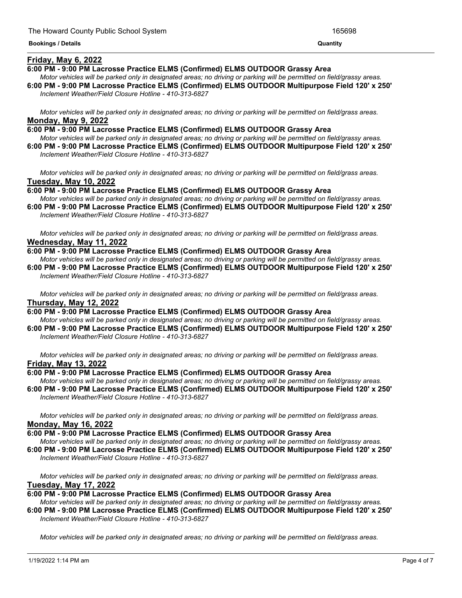#### **Friday, May 6, 2022**

#### **6:00 PM - 9:00 PM Lacrosse Practice ELMS (Confirmed) ELMS OUTDOOR Grassy Area**

Motor vehicles will be parked only in designated areas; no driving or parking will be permitted on field/grassy areas. **6:00 PM - 9:00 PM Lacrosse Practice ELMS (Confirmed) ELMS OUTDOOR Multipurpose Field 120' x 250'**

<u> 1989 - Andrea Andrea Andrea Andrea Andrea Andrea Andrea Andrea Andrea Andrea Andrea Andrea Andrea Andrea Andr</u>

*Inclement Weather/Field Closure Hotline - 410-313-6827*

Motor vehicles will be parked only in designated areas; no driving or parking will be permitted on field/grass areas. **Monday, May 9, 2022**

- **6:00 PM - 9:00 PM Lacrosse Practice ELMS (Confirmed) ELMS OUTDOOR Grassy Area** Motor vehicles will be parked only in designated areas; no driving or parking will be permitted on field/grassy areas.
- **6:00 PM - 9:00 PM Lacrosse Practice ELMS (Confirmed) ELMS OUTDOOR Multipurpose Field 120' x 250'** *Inclement Weather/Field Closure Hotline - 410-313-6827*

Motor vehicles will be parked only in designated areas; no driving or parking will be permitted on field/grass areas. **Tuesday, May 10, 2022**

**6:00 PM - 9:00 PM Lacrosse Practice ELMS (Confirmed) ELMS OUTDOOR Grassy Area** Motor vehicles will be parked only in designated areas; no driving or parking will be permitted on field/grassy areas.

**6:00 PM - 9:00 PM Lacrosse Practice ELMS (Confirmed) ELMS OUTDOOR Multipurpose Field 120' x 250'** *Inclement Weather/Field Closure Hotline - 410-313-6827*

Motor vehicles will be parked only in designated areas; no driving or parking will be permitted on field/grass areas. **Wednesday, May 11, 2022**

**6:00 PM - 9:00 PM Lacrosse Practice ELMS (Confirmed) ELMS OUTDOOR Grassy Area** Motor vehicles will be parked only in designated areas: no driving or parking will be permitted on field/grassy areas.

**6:00 PM - 9:00 PM Lacrosse Practice ELMS (Confirmed) ELMS OUTDOOR Multipurpose Field 120' x 250'** *Inclement Weather/Field Closure Hotline - 410-313-6827*

Motor vehicles will be parked only in designated areas; no driving or parking will be permitted on field/grass areas. **Thursday, May 12, 2022**

**6:00 PM - 9:00 PM Lacrosse Practice ELMS (Confirmed) ELMS OUTDOOR Grassy Area**

Motor vehicles will be parked only in designated areas; no driving or parking will be permitted on field/grassy areas. **6:00 PM - 9:00 PM Lacrosse Practice ELMS (Confirmed) ELMS OUTDOOR Multipurpose Field 120' x 250'** *Inclement Weather/Field Closure Hotline - 410-313-6827*

Motor vehicles will be parked only in designated areas; no driving or parking will be permitted on field/grass areas. **Friday, May 13, 2022**

#### **6:00 PM - 9:00 PM Lacrosse Practice ELMS (Confirmed) ELMS OUTDOOR Grassy Area**

Motor vehicles will be parked only in designated areas; no driving or parking will be permitted on field/grassy areas. **6:00 PM - 9:00 PM Lacrosse Practice ELMS (Confirmed) ELMS OUTDOOR Multipurpose Field 120' x 250'** *Inclement Weather/Field Closure Hotline - 410-313-6827*

Motor vehicles will be parked only in designated areas; no driving or parking will be permitted on field/grass areas. **Monday, May 16, 2022**

#### **6:00 PM - 9:00 PM Lacrosse Practice ELMS (Confirmed) ELMS OUTDOOR Grassy Area**

Motor vehicles will be parked only in designated areas; no driving or parking will be permitted on field/grassy areas. **6:00 PM - 9:00 PM Lacrosse Practice ELMS (Confirmed) ELMS OUTDOOR Multipurpose Field 120' x 250'** *Inclement Weather/Field Closure Hotline - 410-313-6827*

Motor vehicles will be parked only in designated areas; no driving or parking will be permitted on field/grass areas.

# **Tuesday, May 17, 2022**

**6:00 PM - 9:00 PM Lacrosse Practice ELMS (Confirmed) ELMS OUTDOOR Grassy Area**

Motor vehicles will be parked only in designated areas; no driving or parking will be permitted on field/grassy areas. **6:00 PM - 9:00 PM Lacrosse Practice ELMS (Confirmed) ELMS OUTDOOR Multipurpose Field 120' x 250'** *Inclement Weather/Field Closure Hotline - 410-313-6827*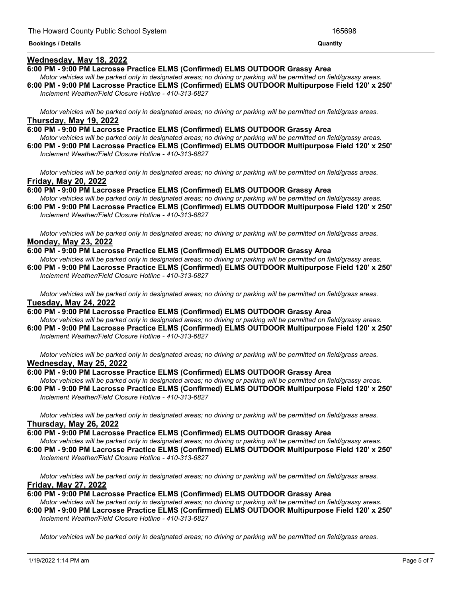#### **Wednesday, May 18, 2022**

#### **6:00 PM - 9:00 PM Lacrosse Practice ELMS (Confirmed) ELMS OUTDOOR Grassy Area**

Motor vehicles will be parked only in designated areas; no driving or parking will be permitted on field/grassy areas. **6:00 PM - 9:00 PM Lacrosse Practice ELMS (Confirmed) ELMS OUTDOOR Multipurpose Field 120' x 250'** *Inclement Weather/Field Closure Hotline - 410-313-6827*

Motor vehicles will be parked only in designated areas; no driving or parking will be permitted on field/grass areas. **Thursday, May 19, 2022**

**6:00 PM - 9:00 PM Lacrosse Practice ELMS (Confirmed) ELMS OUTDOOR Grassy Area** Motor vehicles will be parked only in designated areas; no driving or parking will be permitted on field/grassy areas. **6:00 PM - 9:00 PM Lacrosse Practice ELMS (Confirmed) ELMS OUTDOOR Multipurpose Field 120' x 250'**

*Inclement Weather/Field Closure Hotline - 410-313-6827*

Motor vehicles will be parked only in designated areas; no driving or parking will be permitted on field/grass areas. **Friday, May 20, 2022**

**6:00 PM - 9:00 PM Lacrosse Practice ELMS (Confirmed) ELMS OUTDOOR Grassy Area** Motor vehicles will be parked only in designated areas; no driving or parking will be permitted on field/grassy areas. **6:00 PM - 9:00 PM Lacrosse Practice ELMS (Confirmed) ELMS OUTDOOR Multipurpose Field 120' x 250'**

*Inclement Weather/Field Closure Hotline - 410-313-6827*

Motor vehicles will be parked only in designated areas; no driving or parking will be permitted on field/grass areas. **Monday, May 23, 2022**

**6:00 PM - 9:00 PM Lacrosse Practice ELMS (Confirmed) ELMS OUTDOOR Grassy Area**

Motor vehicles will be parked only in designated areas: no driving or parking will be permitted on field/grassy areas. **6:00 PM - 9:00 PM Lacrosse Practice ELMS (Confirmed) ELMS OUTDOOR Multipurpose Field 120' x 250'** *Inclement Weather/Field Closure Hotline - 410-313-6827*

Motor vehicles will be parked only in designated areas; no driving or parking will be permitted on field/grass areas. **Tuesday, May 24, 2022**

**6:00 PM - 9:00 PM Lacrosse Practice ELMS (Confirmed) ELMS OUTDOOR Grassy Area** Motor vehicles will be parked only in designated areas; no driving or parking will be permitted on field/grassy areas. **6:00 PM - 9:00 PM Lacrosse Practice ELMS (Confirmed) ELMS OUTDOOR Multipurpose Field 120' x 250'**

*Inclement Weather/Field Closure Hotline - 410-313-6827*

Motor vehicles will be parked only in designated areas; no driving or parking will be permitted on field/grass areas. **Wednesday, May 25, 2022**

#### **6:00 PM - 9:00 PM Lacrosse Practice ELMS (Confirmed) ELMS OUTDOOR Grassy Area**

Motor vehicles will be parked only in designated areas; no driving or parking will be permitted on field/grassy areas. **6:00 PM - 9:00 PM Lacrosse Practice ELMS (Confirmed) ELMS OUTDOOR Multipurpose Field 120' x 250'** *Inclement Weather/Field Closure Hotline - 410-313-6827*

Motor vehicles will be parked only in designated areas; no driving or parking will be permitted on field/grass areas. **Thursday, May 26, 2022**

**6:00 PM - 9:00 PM Lacrosse Practice ELMS (Confirmed) ELMS OUTDOOR Grassy Area**

Motor vehicles will be parked only in designated areas; no driving or parking will be permitted on field/grassy areas. **6:00 PM - 9:00 PM Lacrosse Practice ELMS (Confirmed) ELMS OUTDOOR Multipurpose Field 120' x 250'**

*Inclement Weather/Field Closure Hotline - 410-313-6827*

Motor vehicles will be parked only in designated areas; no driving or parking will be permitted on field/grass areas. **Friday, May 27, 2022**

**6:00 PM - 9:00 PM Lacrosse Practice ELMS (Confirmed) ELMS OUTDOOR Grassy Area**

Motor vehicles will be parked only in designated areas; no driving or parking will be permitted on field/grassy areas. **6:00 PM - 9:00 PM Lacrosse Practice ELMS (Confirmed) ELMS OUTDOOR Multipurpose Field 120' x 250'** *Inclement Weather/Field Closure Hotline - 410-313-6827*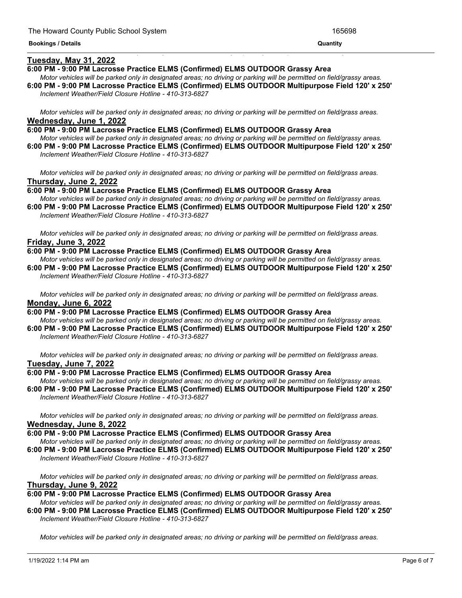#### **Tuesday, May 31, 2022**

#### **6:00 PM - 9:00 PM Lacrosse Practice ELMS (Confirmed) ELMS OUTDOOR Grassy Area**

Motor vehicles will be parked only in designated areas; no driving or parking will be permitted on field/grassy areas. **6:00 PM - 9:00 PM Lacrosse Practice ELMS (Confirmed) ELMS OUTDOOR Multipurpose Field 120' x 250'**

<u> 1989 - Andrea Andrea Andrea Andrea Andrea Andrea Andrea Andrea Andrea Andrea Andrea Andrea Andrea Andrea And</u>

*Inclement Weather/Field Closure Hotline - 410-313-6827*

Motor vehicles will be parked only in designated areas; no driving or parking will be permitted on field/grass areas. **Wednesday, June 1, 2022**

**6:00 PM - 9:00 PM Lacrosse Practice ELMS (Confirmed) ELMS OUTDOOR Grassy Area** Motor vehicles will be parked only in designated areas; no driving or parking will be permitted on field/grassy areas. **6:00 PM - 9:00 PM Lacrosse Practice ELMS (Confirmed) ELMS OUTDOOR Multipurpose Field 120' x 250'**

*Inclement Weather/Field Closure Hotline - 410-313-6827*

Motor vehicles will be parked only in designated areas; no driving or parking will be permitted on field/grass areas. **Thursday, June 2, 2022**

**6:00 PM - 9:00 PM Lacrosse Practice ELMS (Confirmed) ELMS OUTDOOR Grassy Area** Motor vehicles will be parked only in designated areas; no driving or parking will be permitted on field/grassy areas.

**6:00 PM - 9:00 PM Lacrosse Practice ELMS (Confirmed) ELMS OUTDOOR Multipurpose Field 120' x 250'** *Inclement Weather/Field Closure Hotline - 410-313-6827*

Motor vehicles will be parked only in designated areas; no driving or parking will be permitted on field/grass areas. **Friday, June 3, 2022**

**6:00 PM - 9:00 PM Lacrosse Practice ELMS (Confirmed) ELMS OUTDOOR Grassy Area**

Motor vehicles will be parked only in designated areas; no driving or parking will be permitted on field/grassy areas. **6:00 PM - 9:00 PM Lacrosse Practice ELMS (Confirmed) ELMS OUTDOOR Multipurpose Field 120' x 250'** *Inclement Weather/Field Closure Hotline - 410-313-6827*

Motor vehicles will be parked only in designated areas; no driving or parking will be permitted on field/grass areas. **Monday, June 6, 2022**

**6:00 PM - 9:00 PM Lacrosse Practice ELMS (Confirmed) ELMS OUTDOOR Grassy Area** Motor vehicles will be parked only in designated areas; no driving or parking will be permitted on field/grassy areas.

**6:00 PM - 9:00 PM Lacrosse Practice ELMS (Confirmed) ELMS OUTDOOR Multipurpose Field 120' x 250'** *Inclement Weather/Field Closure Hotline - 410-313-6827*

Motor vehicles will be parked only in designated areas; no driving or parking will be permitted on field/grass areas. **Tuesday, June 7, 2022**

#### **6:00 PM - 9:00 PM Lacrosse Practice ELMS (Confirmed) ELMS OUTDOOR Grassy Area**

Motor vehicles will be parked only in designated areas; no driving or parking will be permitted on field/grassy areas. **6:00 PM - 9:00 PM Lacrosse Practice ELMS (Confirmed) ELMS OUTDOOR Multipurpose Field 120' x 250'** *Inclement Weather/Field Closure Hotline - 410-313-6827*

Motor vehicles will be parked only in designated areas; no driving or parking will be permitted on field/grass areas. **Wednesday, June 8, 2022**

**6:00 PM - 9:00 PM Lacrosse Practice ELMS (Confirmed) ELMS OUTDOOR Grassy Area**

Motor vehicles will be parked only in designated areas; no driving or parking will be permitted on field/grassy areas. **6:00 PM - 9:00 PM Lacrosse Practice ELMS (Confirmed) ELMS OUTDOOR Multipurpose Field 120' x 250'** *Inclement Weather/Field Closure Hotline - 410-313-6827*

Motor vehicles will be parked only in designated areas; no driving or parking will be permitted on field/grass areas. **Thursday, June 9, 2022**

**6:00 PM - 9:00 PM Lacrosse Practice ELMS (Confirmed) ELMS OUTDOOR Grassy Area**

Motor vehicles will be parked only in designated areas; no driving or parking will be permitted on field/grassy areas. **6:00 PM - 9:00 PM Lacrosse Practice ELMS (Confirmed) ELMS OUTDOOR Multipurpose Field 120' x 250'** *Inclement Weather/Field Closure Hotline - 410-313-6827*